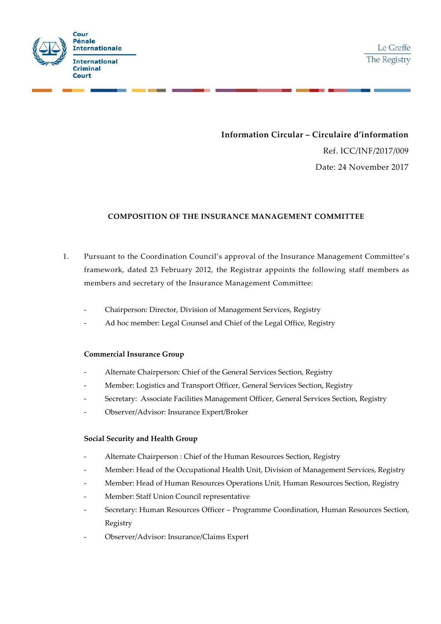

**Information Circular – Circulaire d'information**

Ref. ICC/INF/2017/009 Date: 24 November 2017

## **COMPOSITION OF THE INSURANCE MANAGEMENT COMMITTEE**

- 1. Pursuant to the Coordination Council's approval of the Insurance Management Committee' s framework, dated 23 February 2012, the Registrar appoints the following staff members as members and secretary of the Insurance Management Committee:
	- Chairperson: Director, Division of Management Services, Registry
	- Ad hoc member: Legal Counsel and Chief of the Legal Office, Registry

## **Commercial Insurance Group**

- Alternate Chairperson: Chief of the General Services Section, Registry
- Member: Logistics and Transport Officer, General Services Section, Registry
- Secretary: Associate Facilities Management Officer, General Services Section, Registry
- Observer/Advisor: Insurance Expert/Broker

## **Social Security and Health Group**

- Alternate Chairperson : Chief of the Human Resources Section, Registry
- Member: Head of the Occupational Health Unit, Division of Management Services, Registry
- Member: Head of Human Resources Operations Unit, Human Resources Section, Registry
- Member: Staff Union Council representative
- Secretary: Human Resources Officer Programme Coordination, Human Resources Section, Registry
- Observer/Advisor: Insurance/Claims Expert